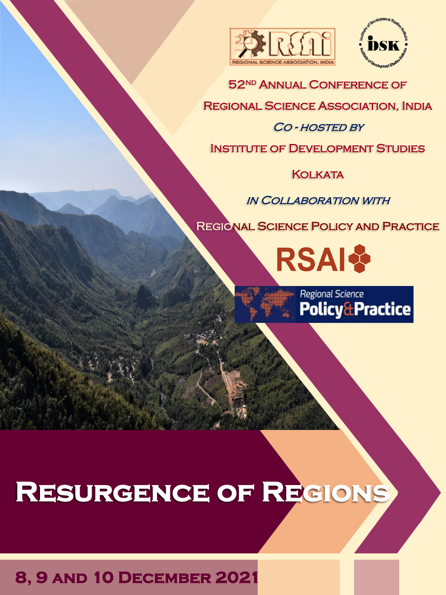



52<sup>ND</sup> ANNUAL CONFERENCE OF

Regional Science Association, India

#### CO - HOSTED BY

Institute of Development Studies

**KOLKATA** 

in Collaboration with

Regional Science Policy and Practice

**RSAI** 

Regional Science **Policy&Practice** 

# **Resurgence of Regions**

## **8, 9 and 10 December 2021**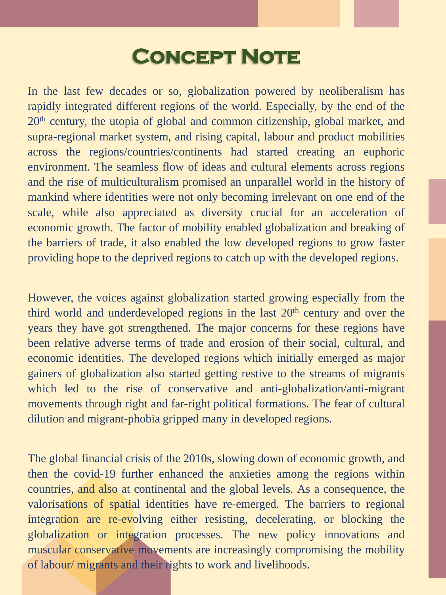## **CONCEPT NOTE**

In the last few decades or so, globalization powered by neoliberalism has rapidly integrated different regions of the world. Especially, by the end of the 20th century, the utopia of global and common citizenship, global market, and supra-regional market system, and rising capital, labour and product mobilities across the regions/countries/continents had started creating an euphoric environment. The seamless flow of ideas and cultural elements across regions and the rise of multiculturalism promised an unparallel world in the history of mankind where identities were not only becoming irrelevant on one end of the scale, while also appreciated as diversity crucial for an acceleration of economic growth. The factor of mobility enabled globalization and breaking of the barriers of trade, it also enabled the low developed regions to grow faster providing hope to the deprived regions to catch up with the developed regions.

However, the voices against globalization started growing especially from the third world and underdeveloped regions in the last  $20<sup>th</sup>$  century and over the years they have got strengthened. The major concerns for these regions have been relative adverse terms of trade and erosion of their social, cultural, and economic identities. The developed regions which initially emerged as major gainers of globalization also started getting restive to the streams of migrants which led to the rise of conservative and anti-globalization/anti-migrant movements through right and far-right political formations. The fear of cultural dilution and migrant-phobia gripped many in developed regions.

The global financial crisis of the 2010s, slowing down of economic growth, and then the covid-19 further enhanced the anxieties among the regions within countries, and also at continental and the global levels. As a consequence, the valorisations of spatial identities have re-emerged. The barriers to regional integration are re-evolving either resisting, decelerating, or blocking the globalization or integration processes. The new policy innovations and muscular conservative movements are increasingly compromising the mobility of labour/ migrants and their rights to work and livelihoods.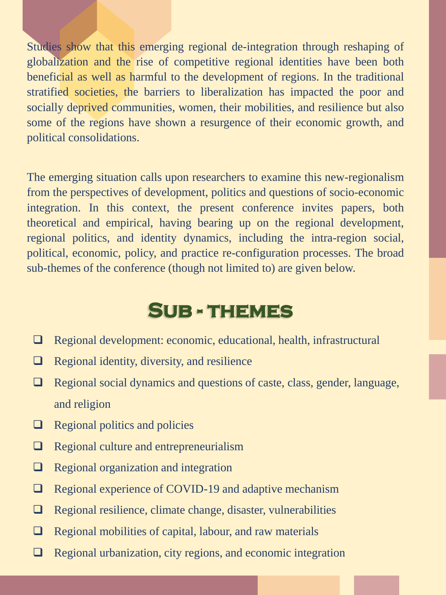Studies show that this emerging regional de-integration through reshaping of globalization and the rise of competitive regional identities have been both beneficial as well as harmful to the development of regions. In the traditional stratified societies, the barriers to liberalization has impacted the poor and socially deprived communities, women, their mobilities, and resilience but also some of the regions have shown a resurgence of their economic growth, and political consolidations.

The emerging situation calls upon researchers to examine this new-regionalism from the perspectives of development, politics and questions of socio-economic integration. In this context, the present conference invites papers, both theoretical and empirical, having bearing up on the regional development, regional politics, and identity dynamics, including the intra-region social, political, economic, policy, and practice re-configuration processes. The broad sub-themes of the conference (though not limited to) are given below.

## **Sub - themes**

- ❑ Regional development: economic, educational, health, infrastructural
- ❑ Regional identity, diversity, and resilience
- ❑ Regional social dynamics and questions of caste, class, gender, language, and religion
- ❑ Regional politics and policies
- ❑ Regional culture and entrepreneurialism
- ❑ Regional organization and integration
- ❑ Regional experience of COVID-19 and adaptive mechanism
- ❑ Regional resilience, climate change, disaster, vulnerabilities
- ❑ Regional mobilities of capital, labour, and raw materials
- ❑ Regional urbanization, city regions, and economic integration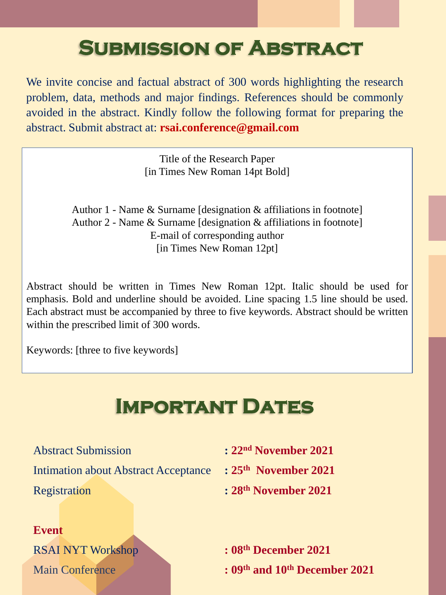## **Submission of Abstract**

We invite concise and factual abstract of 300 words highlighting the research problem, data, methods and major findings. References should be commonly avoided in the abstract. Kindly follow the following format for preparing the abstract. Submit abstract at: **rsai.conference@gmail.com**

> Title of the Research Paper [in Times New Roman 14pt Bold]

Author 1 - Name & Surname [designation & affiliations in footnote] Author 2 - Name & Surname [designation & affiliations in footnote] E-mail of corresponding author [in Times New Roman 12pt]

Abstract should be written in Times New Roman 12pt. Italic should be used for emphasis. Bold and underline should be avoided. Line spacing 1.5 line should be used. Each abstract must be accompanied by three to five keywords. Abstract should be written within the prescribed limit of 300 words.

Keywords: [three to five keywords]

## **Important Dates**

Intimation about Abstract Acceptance **: 25th November 2021** Registration **: 28th November 2021**

- Abstract Submission **: 22nd November 2021**
	-
	-

**Event**

RSAI NYT Workshop **: 08th December 2021**

Main Conference **: 09th and 10th December 2021**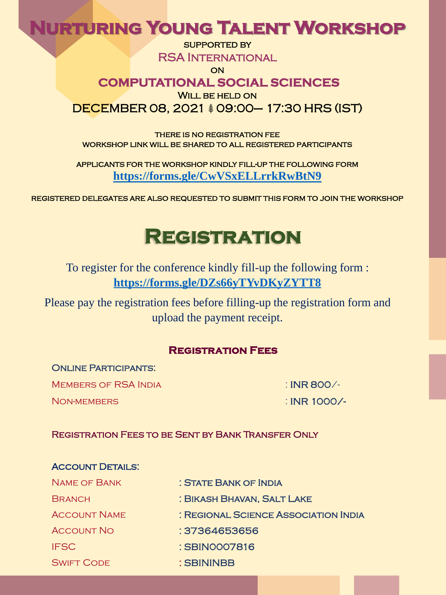### **Nurturing Young Talent Workshop**

SUPPORTED BY

RSA International

**ON** 

#### **COMPUTATIONAL SOCIAL SCIENCES**

WILL BE HELD ON

DECEMBER 08, 2021  $$09:00-$  17:30 HRS (IST)

there is no registration fee workshop link will be shared to all registered participants

applicants for the workshop kindly fill-up the following form **<https://forms.gle/CwVSxELLrrkRwBtN9>**

registered delegates are also requested to submit this form to join the workshop

## **Registration**

To register for the conference kindly fill-up the following form : **<https://forms.gle/DZs66yTYvDKyZYTT8>**

Please pay the registration fees before filling-up the registration form and upload the payment receipt.

#### **Registration Fees**

#### ONLINE PARTICIPANTS:

MEMBERS OF RSA INDIA : IN THE SOO /-

Non-members : INR 1000/-

#### Registration Fees to be Sent by Bank Transfer Only

| <b>ACCOUNT DETAILS:</b> |                                      |
|-------------------------|--------------------------------------|
| <b>NAME OF BANK</b>     | : STATE BANK OF INDIA                |
| <b>BRANCH</b>           | : BIKASH BHAVAN, SALT LAKE           |
| <b>ACCOUNT NAME</b>     | : REGIONAL SCIENCE ASSOCIATION INDIA |
| <b>ACCOUNT NO</b>       | : 37364653656                        |
| <b>IFSC</b>             | : SBIN0007816                        |
| <b>SWIFT CODE</b>       | : SBININBB                           |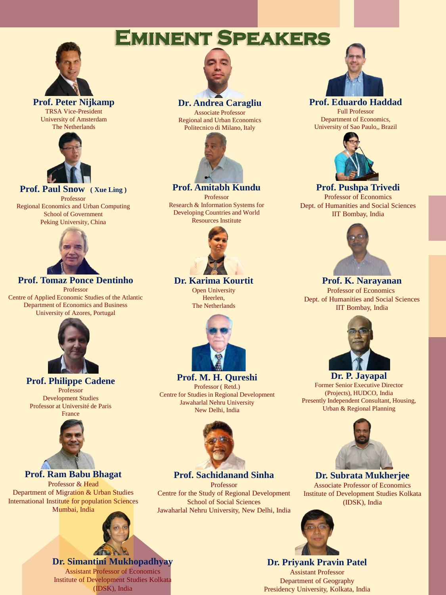### **Eminent Speakers**



**Prof. Peter Nijkamp** TRSA Vice-President University of Amsterdam The Netherlands



#### **Prof. Paul Snow ( Xue Ling )**

Professor Regional Economics and Urban Computing School of Government Peking University, China



#### **Prof. Tomaz Ponce Dentinho**

Professor Centre of Applied Economic Studies of the Atlantic Department of Economics and Business University of Azores, Portugal



#### **Prof. Philippe Cadene**

Professor Development Studies Professor at Université de Paris



#### **Prof. Ram Babu Bhagat**

Professor & Head Department of Migration & Urban Studies International Institute for population Sciences Mumbai, India



#### **Dr. Simantini Mukhopadhyay** Assistant Professor of Economics Institute of Development Studies Kolkata (IDSK), India



#### **Dr. Andrea Caragliu**

Associate Professor Regional and Urban Economics Politecnico di Milano, Italy



#### **Prof. Amitabh Kundu**

Professor Research & Information Systems for Developing Countries and World Resources Institute



#### **Dr. Karima Kourtit**

Open University Heerlen, The Netherlands



**Prof. M. H. Qureshi** Professor ( Retd.) Centre for Studies in Regional Development Jawaharlal Nehru University New Delhi, India



**Prof. Sachidanand Sinha** Professor

Centre for the Study of Regional Development School of Social Sciences Jawaharlal Nehru University, New Delhi, India



#### **Prof. Eduardo Haddad**

Full Professor Department of Economics, University of Sao Paulo,, Brazil



#### **Prof. Pushpa Trivedi**

Professor of Economics Dept. of Humanities and Social Sciences IIT Bombay, India



#### **Prof. K. Narayanan** Professor of Economics

Dept. of Humanities and Social Sciences IIT Bombay, India



#### **Dr. P. Jayapal** Former Senior Executive Director (Projects), HUDCO, India Presently Independent Consultant, Housing, Urban & Regional Planning



#### **Dr. Subrata Mukherjee**

Associate Professor of Economics Institute of Development Studies Kolkata (IDSK), India



#### **Dr. Priyank Pravin Patel** Assistant Professor Department of Geography Presidency University, Kolkata, India